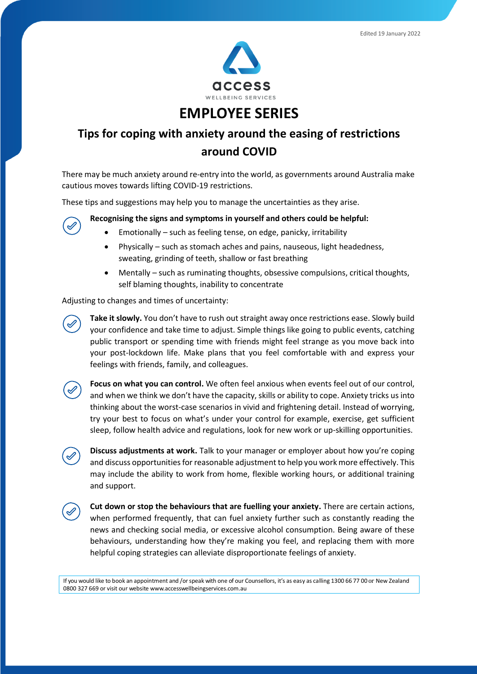

## **EMPLOYEE SERIES**

## **Tips for coping with anxiety around the easing of restrictions around COVID**

There may be much anxiety around re-entry into the world, as governments around Australia make cautious moves towards lifting COVID-19 restrictions.

These tips and suggestions may help you to manage the uncertainties as they arise.

**Recognising the signs and symptoms in yourself and others could be helpful:**

- Emotionally such as feeling tense, on edge, panicky, irritability
- Physically such as stomach aches and pains, nauseous, light headedness, sweating, grinding of teeth, shallow or fast breathing
- Mentally such as ruminating thoughts, obsessive compulsions, critical thoughts, self blaming thoughts, inability to concentrate

Adjusting to changes and times of uncertainty:

**Take it slowly.** You don't have to rush out straight away once restrictions ease. Slowly build your confidence and take time to adjust. Simple things like going to public events, catching public transport or spending time with friends might feel strange as you move back into your post-lockdown life. Make plans that you feel comfortable with and express your feelings with friends, family, and colleagues.

 $\checkmark$ 

**Focus on what you can control.** We often feel anxious when events feel out of our control, and when we think we don't have the capacity, skills or ability to cope. Anxiety tricks us into thinking about the worst-case scenarios in vivid and frightening detail. Instead of worrying, try your best to focus on what's under your control for example, exercise, get sufficient sleep, follow health advice and regulations, look for new work or up-skilling opportunities.

**Discuss adjustments at work.** Talk to your manager or employer about how you're coping and discuss opportunities for reasonable adjustment to help you work more effectively. This may include the ability to work from home, flexible working hours, or additional training and support.



**Cut down or stop the behaviours that are fuelling your anxiety.** There are certain actions, when performed frequently, that can fuel anxiety further such as constantly reading the news and checking social media, or excessive alcohol consumption. Being aware of these behaviours, understanding how they're making you feel, and replacing them with more helpful coping strategies can alleviate disproportionate feelings of anxiety.

If you would like to book an appointment and / or speak with one of our Counsellors, it's as easy as calling 1300 66 77 00 or New Zealand 0800 327 669 or visit our websi[te www.accesswellbeingservices.com.au](http://www.accesswellbeingservices.com.au/)